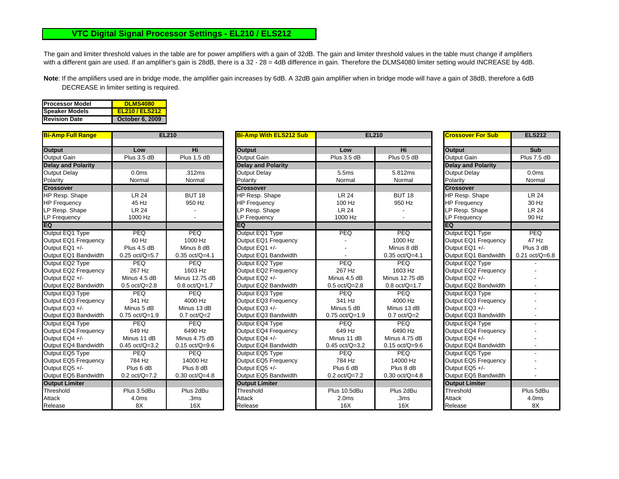## **VTC Digital Signal Processor Settings - EL210 / ELS212**

The gain and limiter threshold values in the table are for power amplifiers with a gain of 32dB. The gain and limiter threshold values in the table must change if amplifiers with a different gain are used. If an amplifier's gain is 28dB, there is a 32 - 28 = 4dB difference in gain. Therefore the DLMS4080 limiter setting would INCREASE by 4dB.

**Note**: If the amplifiers used are in bridge mode, the amplifier gain increases by 6dB. A 32dB gain amplifier when in bridge mode will have a gain of 38dB, therefore a 6dB DECREASE in limiter setting is required.

| <b>IProcessor Model</b> | <b>DLMS4080</b>        |
|-------------------------|------------------------|
| Speaker Models          | <b>EL210 / ELS212</b>  |
| <b>Revision Date</b>    | <b>October 6, 2009</b> |

| <u>Bi-Amp Full Range</u>  |                   | <b>EL210</b>     | <b>Bi-Amp With ELS212 Sub</b> | <b>EL210</b>            |                  | <u>ICrossover For Sub</u> | <b>ELS212</b>              |
|---------------------------|-------------------|------------------|-------------------------------|-------------------------|------------------|---------------------------|----------------------------|
| <b>Output</b>             | Low               | Hi               | <b>Output</b>                 | Low                     | Hi               | <b>Output</b>             | <b>Sub</b>                 |
| Output Gain               | Plus 3.5 dB       | Plus 1.5 dB      | <b>Output Gain</b>            | Plus 3.5 dB             | Plus 0.5 dB      | <b>Output Gain</b>        | Plus 7.5 dB                |
| <b>Delay and Polarity</b> |                   |                  | <b>Delay and Polarity</b>     |                         |                  | <b>Delay and Polarity</b> |                            |
| <b>Output Delay</b>       | 0.0 <sub>ms</sub> | .312ms           | <b>Output Delay</b>           | 5.5ms                   | 5.812ms          | <b>Output Delay</b>       | 0.0 <sub>ms</sub>          |
| Polarity                  | Normal            | Normal           | Polarity                      | Normal                  | Normal           | Polarity                  | Normal                     |
| <b>Crossover</b>          |                   |                  | <b>Crossover</b>              |                         |                  | <b>Crossover</b>          |                            |
| HP Resp. Shape            | <b>LR 24</b>      | <b>BUT 18</b>    | <b>HP Resp. Shape</b>         | <b>LR 24</b>            | <b>BUT 18</b>    | HP Resp. Shape            | <b>LR 24</b>               |
| <b>HP Frequency</b>       | 45 Hz             | 950 Hz           | <b>HP Frequency</b>           | 100 Hz                  | 950 Hz           | <b>HP Frequency</b>       | 30 Hz                      |
| LP Resp. Shape            | <b>LR 24</b>      |                  | LP Resp. Shape                | <b>LR 24</b>            |                  | LP Resp. Shape            | <b>LR 24</b>               |
| LP Frequency              | 1000 Hz           |                  | LP Frequency                  | 1000 Hz                 |                  | LP Frequency              | 90 Hz                      |
| EQ                        |                   |                  | EQ                            |                         |                  | EQ                        |                            |
| Output EQ1 Type           | <b>PEQ</b>        | <b>PEQ</b>       | Output EQ1 Type               | PEQ                     | PEQ              | Output EQ1 Type           | PEQ                        |
| Output EQ1 Frequency      | 60 Hz             | 1000 Hz          | Output EQ1 Frequency          |                         | 1000 Hz          | Output EQ1 Frequency      | 47 Hz                      |
| Output EQ1 +/-            | Plus 4.5 dB       | Minus 8 dB       | Output EQ1 +/-                |                         | Minus 8 dB       | Output EQ1 +/-            | Plus 3 dB                  |
| Output EQ1 Bandwidth      | $0.25$ oct/Q=5.7  | $0.35$ oct/Q=4.1 | Output EQ1 Bandwidth          |                         | $0.35$ oct/Q=4.1 | Output EQ1 Bandwidth      | $0.21 \text{ oct/Q} = 6.8$ |
| Output EQ2 Type           | PEO               | <b>PEQ</b>       | Output EQ2 Type               | PEO                     | <b>PEQ</b>       | Output EQ2 Type           |                            |
| Output EQ2 Frequency      | 267 Hz            | 1603 Hz          | Output EQ2 Frequency          | 267 Hz                  | 1603 Hz          | Output EQ2 Frequency      |                            |
| Output EQ2 +/-            | Minus 4.5 dB      | Minus 12.75 dB   | Output EQ2 +/-                | Minus 4.5 dB            | Minus 12.75 dB   | Output EQ2 +/-            |                            |
| Output EQ2 Bandwidth      | $0.5$ oct/Q=2.8   | $0.8$ oct/Q=1.7  | Output EQ2 Bandwidth          | $0.5$ oct/Q=2.8         | $0.8$ oct/Q=1.7  | Output EQ2 Bandwidth      |                            |
| Output EQ3 Type           | <b>PEQ</b>        | <b>PEQ</b>       | Output EQ3 Type               | <b>PEQ</b>              | <b>PEQ</b>       | Output EQ3 Type           |                            |
| Output EQ3 Frequency      | 341 Hz            | 4000 Hz          | Output EQ3 Frequency          | 341 Hz                  | 4000 Hz          | Output EQ3 Frequency      |                            |
| Output EQ3 +/-            | Minus 5 dB        | Minus 13 dB      | Output EQ3 +/-                | Minus 5 dB              | Minus 13 dB      | Output EQ3 +/-            |                            |
| Output EQ3 Bandwidth      | $0.75$ oct/Q=1.9  | $0.7$ oct/ $Q=2$ | Output EQ3 Bandwidth          | $0.75$ oct/Q=1.9        | $0.7$ oct/ $Q=2$ | Output EQ3 Bandwidth      |                            |
| Output EQ4 Type           | <b>PEQ</b>        | PEQ              | Output EQ4 Type               | <b>PEQ</b>              | <b>PEQ</b>       | Output EQ4 Type           |                            |
| Output EQ4 Frequency      | 649 Hz            | 6490 Hz          | Output EQ4 Frequency          | 649 Hz                  | 6490 Hz          | Output EQ4 Frequency      |                            |
| Output EQ4 +/-            | Minus 11 dB       | Minus 4.75 dB    | Output EQ4 +/-                | Minus 11 dB             | Minus 4.75 dB    | Output EQ4 +/-            |                            |
| Output EQ4 Bandwidth      | $0.45$ oct/Q=3.2  | $0.15$ oct/Q=9.6 | Output EQ4 Bandwidth          | $0.45$ oct/Q=3.2        | $0.15$ oct/Q=9.6 | Output EQ4 Bandwidth      |                            |
| Output EQ5 Type           | <b>PEQ</b>        | <b>PEQ</b>       | Output EQ5 Type               | PEQ                     | <b>PEQ</b>       | Output EQ5 Type           |                            |
| Output EQ5 Frequency      | 784 Hz            | 14000 Hz         | Output EQ5 Frequency          | 784 Hz                  | 14000 Hz         | Output EQ5 Frequency      |                            |
| Output EQ5 +/-            | Plus 6 dB         | Plus 8 dB        | Output EQ5 +/-                | Plus 6 dB               | Plus 8 dB        | Output EQ5 +/-            |                            |
| Output EQ5 Bandwidth      | $0.2$ oct/Q=7.2   | $0.30$ oct/Q=4.8 | Output EQ5 Bandwidth          | $0.2 \text{ oct}/Q=7.2$ | $0.30$ oct/Q=4.8 | Output EQ5 Bandwidth      |                            |
| <b>Output Limiter</b>     |                   |                  | <b>Output Limiter</b>         |                         |                  | <b>Output Limiter</b>     |                            |
| Threshold                 | Plus 3.5dBu       | Plus 2dBu        | Threshold                     | Plus 10.5dBu            | Plus 2dBu        | Threshold                 | Plus 5dBu                  |
| Attack                    | 4.0 <sub>ms</sub> | .3ms             | Attack                        | 2.0 <sub>ms</sub>       | .3ms             | Attack                    | 4.0 <sub>ms</sub>          |
| Release                   | 8X                | 16X              | Release                       | 16X                     | 16X              | Release                   | 8X                         |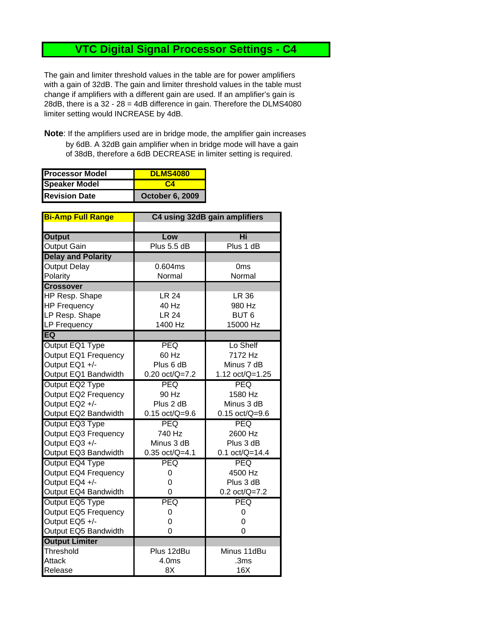## **VTC Digital Signal Processor Settings - C4**

The gain and limiter threshold values in the table are for power amplifiers with a gain of 32dB. The gain and limiter threshold values in the table must change if amplifiers with a different gain are used. If an amplifier's gain is 28dB, there is a 32 - 28 = 4dB difference in gain. Therefore the DLMS4080 limiter setting would INCREASE by 4dB.

**Note**: If the amplifiers used are in bridge mode, the amplifier gain increases by 6dB. A 32dB gain amplifier when in bridge mode will have a gain of 38dB, therefore a 6dB DECREASE in limiter setting is required.

| <b>Processor Model</b> | <b>DLMS4080</b>        |  |
|------------------------|------------------------|--|
| <b>Speaker Model</b>   | CД                     |  |
| <b>Revision Date</b>   | <b>October 6, 2009</b> |  |

| <b>Bi-Amp Full Range</b>  | C4 using 32dB gain amplifiers |                  |  |
|---------------------------|-------------------------------|------------------|--|
|                           |                               |                  |  |
| <b>Output</b>             | Low                           | Hi               |  |
| <b>Output Gain</b>        | Plus 5.5 dB                   | Plus 1 dB        |  |
| <b>Delay and Polarity</b> |                               |                  |  |
| <b>Output Delay</b>       | 0.604ms                       | 0ms              |  |
| Polarity                  | Normal                        | Normal           |  |
| <b>Crossover</b>          |                               |                  |  |
| HP Resp. Shape            | <b>LR 24</b>                  | <b>LR 36</b>     |  |
| <b>HP Frequency</b>       | 40 Hz                         | 980 Hz           |  |
| LP Resp. Shape            | <b>LR 24</b>                  | BUT <sub>6</sub> |  |
| <b>LP Frequency</b>       | 1400 Hz                       | 15000 Hz         |  |
| EQ                        |                               |                  |  |
| Output EQ1 Type           | PEQ                           | Lo Shelf         |  |
| Output EQ1 Frequency      | 60 Hz                         | 7172 Hz          |  |
| Output EQ1 +/-            | Plus 6 dB                     | Minus 7 dB       |  |
| Output EQ1 Bandwidth      | $0.20$ oct/Q=7.2              | 1.12 oct/Q=1.25  |  |
| Output EQ2 Type           | <b>PEQ</b>                    | <b>PEQ</b>       |  |
| Output EQ2 Frequency      | 90 Hz                         | 1580 Hz          |  |
| Output EQ2 +/-            | Plus 2 dB                     | Minus 3 dB       |  |
| Output EQ2 Bandwidth      | $0.15$ oct/Q=9.6              | $0.15$ oct/Q=9.6 |  |
| Output EQ3 Type           | <b>PEQ</b>                    | <b>PEQ</b>       |  |
| Output EQ3 Frequency      | 740 Hz                        | 2600 Hz          |  |
| Output EQ3 +/-            | Minus 3 dB                    | Plus 3 dB        |  |
| Output EQ3 Bandwidth      | $0.35$ oct/Q=4.1              | $0.1$ oct/Q=14.4 |  |
| Output EQ4 Type           | PEQ                           | <b>PEQ</b>       |  |
| Output EQ4 Frequency      | 0                             | 4500 Hz          |  |
| Output EQ4 +/-            | 0                             | Plus 3 dB        |  |
| Output EQ4 Bandwidth      | 0                             | $0.2$ oct/Q=7.2  |  |
| Output EQ5 Type           | PEQ                           | <b>PEQ</b>       |  |
| Output EQ5 Frequency      | 0                             | 0                |  |
| Output EQ5 +/-            | 0                             | 0                |  |
| Output EQ5 Bandwidth      | 0                             | 0                |  |
| <b>Output Limiter</b>     |                               |                  |  |
| Threshold                 | Plus 12dBu                    | Minus 11dBu      |  |
| Attack                    | 4.0 <sub>ms</sub>             | .3ms             |  |
| Release                   | 8X                            | 16X              |  |